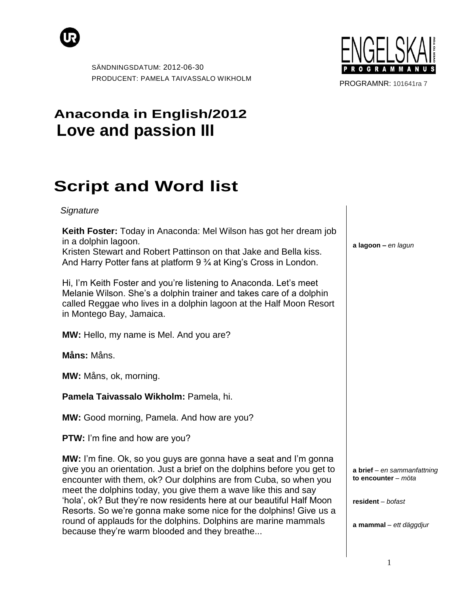



PROGRAMNR: 101641ra 7

## **Anaconda in English/2012 Love and passion III**

## **Script and Word list**

## *Signature*

**Keith Foster:** Today in Anaconda: Mel Wilson has got her dream job in a dolphin lagoon.

Kristen Stewart and Robert Pattinson on that Jake and Bella kiss. And Harry Potter fans at platform 9 <sup>3</sup>/4 at King's Cross in London.

Hi, I'm Keith Foster and you're listening to Anaconda. Let's meet Melanie Wilson. She"s a dolphin trainer and takes care of a dolphin called Reggae who lives in a dolphin lagoon at the Half Moon Resort in Montego Bay, Jamaica.

**MW:** Hello, my name is Mel. And you are?

**Måns:** Måns.

**MW:** Måns, ok, morning.

**Pamela Taivassalo Wikholm:** Pamela, hi.

**MW:** Good morning, Pamela. And how are you?

**PTW:** I'm fine and how are you?

**MW:** I'm fine. Ok, so you guys are gonna have a seat and I'm gonna give you an orientation. Just a brief on the dolphins before you get to encounter with them, ok? Our dolphins are from Cuba, so when you meet the dolphins today, you give them a wave like this and say "hola", ok? But they"re now residents here at our beautiful Half Moon Resorts. So we"re gonna make some nice for the dolphins! Give us a round of applauds for the dolphins. Dolphins are marine mammals because they"re warm blooded and they breathe...

**a lagoon –** *en lagun*

**a brief** *– en sammanfattning* **to encounter** *– möta*

**resident** *– bofast*

**a mammal** *– ett däggdjur*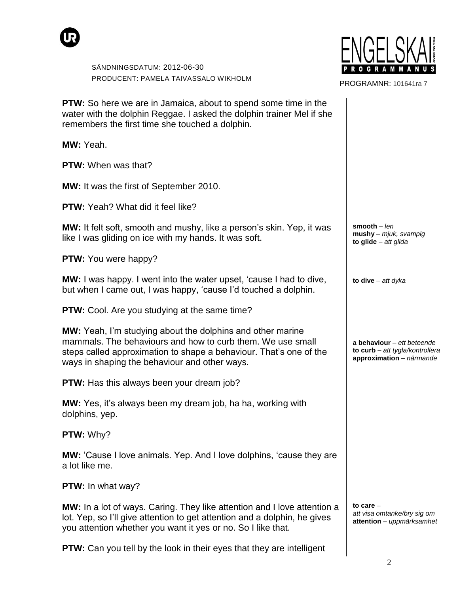



PROGRAMNR: 101641ra 7

| <b>PTW:</b> So here we are in Jamaica, about to spend some time in the<br>water with the dolphin Reggae. I asked the dolphin trainer Mel if she<br>remembers the first time she touched a dolphin.                                                     |                                                                                             |
|--------------------------------------------------------------------------------------------------------------------------------------------------------------------------------------------------------------------------------------------------------|---------------------------------------------------------------------------------------------|
| MW: Yeah.                                                                                                                                                                                                                                              |                                                                                             |
| <b>PTW:</b> When was that?                                                                                                                                                                                                                             |                                                                                             |
| <b>MW:</b> It was the first of September 2010.                                                                                                                                                                                                         |                                                                                             |
| <b>PTW:</b> Yeah? What did it feel like?                                                                                                                                                                                                               |                                                                                             |
| <b>MW:</b> It felt soft, smooth and mushy, like a person's skin. Yep, it was<br>like I was gliding on ice with my hands. It was soft.                                                                                                                  | smooth $-$ len<br>$mushy - mjuk, svampig$<br>to glide $-$ att glida                         |
| <b>PTW:</b> You were happy?                                                                                                                                                                                                                            |                                                                                             |
| <b>MW:</b> I was happy. I went into the water upset, 'cause I had to dive,<br>but when I came out, I was happy, 'cause I'd touched a dolphin.                                                                                                          | to dive $-$ att dyka                                                                        |
| <b>PTW:</b> Cool. Are you studying at the same time?                                                                                                                                                                                                   |                                                                                             |
| <b>MW:</b> Yeah, I'm studying about the dolphins and other marine<br>mammals. The behaviours and how to curb them. We use small<br>steps called approximation to shape a behaviour. That's one of the<br>ways in shaping the behaviour and other ways. | a behaviour $-$ ett beteende<br>to curb - att tygla/kontrollera<br>approximation - närmande |
| <b>PTW:</b> Has this always been your dream job?                                                                                                                                                                                                       |                                                                                             |
| MW: Yes, it's always been my dream job, ha ha, working with<br>dolphins, yep.                                                                                                                                                                          |                                                                                             |
| <b>PTW: Why?</b>                                                                                                                                                                                                                                       |                                                                                             |
| <b>MW:</b> 'Cause I love animals. Yep. And I love dolphins, 'cause they are<br>a lot like me.                                                                                                                                                          |                                                                                             |
| PTW: In what way?                                                                                                                                                                                                                                      |                                                                                             |
| MW: In a lot of ways. Caring. They like attention and I love attention a<br>lot. Yep, so I'll give attention to get attention and a dolphin, he gives<br>you attention whether you want it yes or no. So I like that.                                  | to care $-$<br>att visa omtanke/bry sig om<br>attention - uppmärksamhet                     |
| <b>PTW:</b> Can you tell by the look in their eyes that they are intelligent                                                                                                                                                                           |                                                                                             |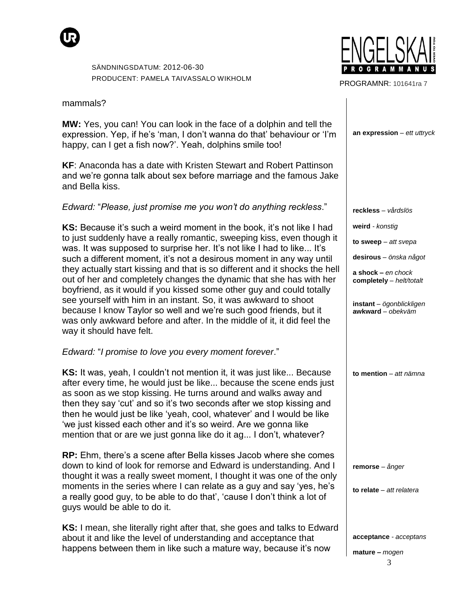

mammals?

**MW:** Yes, you can! You can look in the face of a dolphin and tell the expression. Yep, if he's 'man, I don't wanna do that' behaviour or 'I'm happy, can I get a fish now?'. Yeah, dolphins smile too!

**KF**: Anaconda has a date with Kristen Stewart and Robert Pattinson and we"re gonna talk about sex before marriage and the famous Jake and Bella kiss.

*Edward:* "*Please, just promise me you won't do anything reckless*."

**KS:** Because it's such a weird moment in the book, it's not like I had to just suddenly have a really romantic, sweeping kiss, even though it was. It was supposed to surprise her. It's not like I had to like... It's such a different moment, it's not a desirous moment in any way until they actually start kissing and that is so different and it shocks the hell out of her and completely changes the dynamic that she has with her boyfriend, as it would if you kissed some other guy and could totally see yourself with him in an instant. So, it was awkward to shoot because I know Taylor so well and we"re such good friends, but it was only awkward before and after. In the middle of it, it did feel the way it should have felt.

*Edward:* "*I promise to love you every moment forever*."

**KS:** It was, yeah, I couldn't not mention it, it was just like... Because after every time, he would just be like... because the scene ends just as soon as we stop kissing. He turns around and walks away and then they say "cut" and so it"s two seconds after we stop kissing and then he would just be like "yeah, cool, whatever" and I would be like "we just kissed each other and it"s so weird. Are we gonna like mention that or are we just gonna like do it ag... I don"t, whatever?

**RP:** Ehm, there"s a scene after Bella kisses Jacob where she comes down to kind of look for remorse and Edward is understanding. And I thought it was a really sweet moment, I thought it was one of the only moments in the series where I can relate as a guy and say 'yes, he's a really good guy, to be able to do that", "cause I don"t think a lot of guys would be able to do it.

**KS:** I mean, she literally right after that, she goes and talks to Edward about it and like the level of understanding and acceptance that happens between them in like such a mature way, because it's now



PROGRAMNR: 101641ra 7

**an expression** *– ett uttryck*

**reckless** *– vårdslös*

**weird** *- konstig*

**to sweep** *– att svepa*

**desirous** *– önska något*

**a shock –** *en chock* **completely** *– helt/totalt*

**instant** *– ögonblickligen* **awkward** *– obekväm*

**to mention** *– att nämna*

**remorse** *– ånger*

**to relate** *– att relatera*

**acceptance** *- acceptans*

**mature –** *mogen*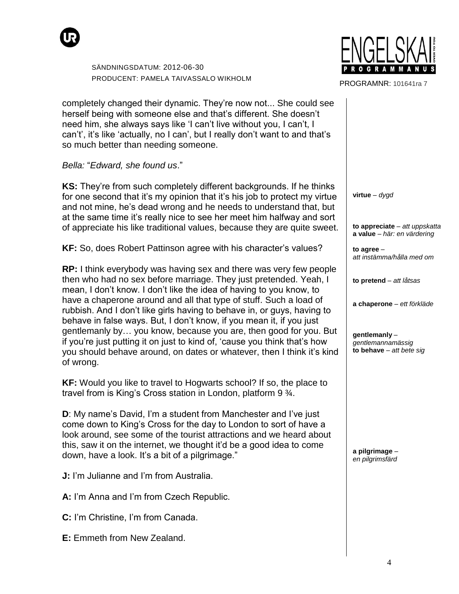



PROGRAMNR: 101641ra 7

completely changed their dynamic. They"re now not... She could see herself being with someone else and that's different. She doesn't need him, she always says like "I can"t live without you, I can"t, I can't, it's like 'actually, no I can', but I really don't want to and that's so much better than needing someone.

*Bella:* "*Edward, she found us*."

**KS:** They"re from such completely different backgrounds. If he thinks for one second that it"s my opinion that it"s his job to protect my virtue and not mine, he"s dead wrong and he needs to understand that, but at the same time it's really nice to see her meet him halfway and sort of appreciate his like traditional values, because they are quite sweet.

**KF:** So, does Robert Pattinson agree with his character's values?

**RP:** I think everybody was having sex and there was very few people then who had no sex before marriage. They just pretended. Yeah, I mean, I don"t know. I don"t like the idea of having to you know, to have a chaperone around and all that type of stuff. Such a load of rubbish. And I don"t like girls having to behave in, or guys, having to behave in false ways. But, I don"t know, if you mean it, if you just gentlemanly by… you know, because you are, then good for you. But if you"re just putting it on just to kind of, "cause you think that"s how you should behave around, on dates or whatever, then I think it"s kind of wrong.

**KF:** Would you like to travel to Hogwarts school? If so, the place to travel from is King"s Cross station in London, platform 9 ¾.

**D**: My name's David, I'm a student from Manchester and I've just come down to King"s Cross for the day to London to sort of have a look around, see some of the tourist attractions and we heard about this, saw it on the internet, we thought it"d be a good idea to come down, have a look. It's a bit of a pilgrimage."

**J:** I'm Julianne and I'm from Australia.

A: I'm Anna and I'm from Czech Republic.

**C:** I'm Christine, I'm from Canada.

**E:** Emmeth from New Zealand.

**virtue** *– dygd*

**to appreciate** *– att uppskatta* **a value** *– här: en värdering*

**to agree** *– att instämma/hålla med om*

**to pretend** *– att låtsas*

**a chaperone** *– ett förkläde*

**gentlemanly** *– gentlemannamässig* **to behave** *– att bete sig*

**a pilgrimage** *– en pilgrimsfärd*